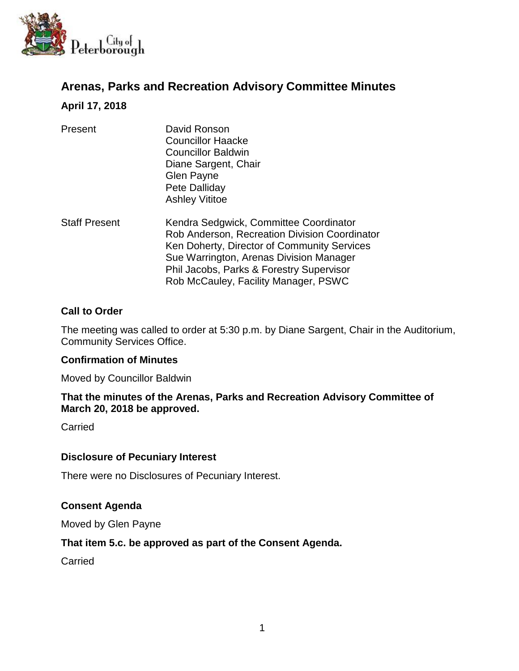

# **Arenas, Parks and Recreation Advisory Committee Minutes**

### **April 17, 2018**

| Present              | David Ronson<br><b>Councillor Haacke</b><br><b>Councillor Baldwin</b><br>Diane Sargent, Chair<br>Glen Payne<br>Pete Dalliday<br><b>Ashley Vititoe</b>                                                                                                                 |
|----------------------|-----------------------------------------------------------------------------------------------------------------------------------------------------------------------------------------------------------------------------------------------------------------------|
| <b>Staff Present</b> | Kendra Sedgwick, Committee Coordinator<br>Rob Anderson, Recreation Division Coordinator<br>Ken Doherty, Director of Community Services<br>Sue Warrington, Arenas Division Manager<br>Phil Jacobs, Parks & Forestry Supervisor<br>Rob McCauley, Facility Manager, PSWC |

### **Call to Order**

The meeting was called to order at 5:30 p.m. by Diane Sargent, Chair in the Auditorium, Community Services Office.

### **Confirmation of Minutes**

Moved by Councillor Baldwin

#### **That the minutes of the Arenas, Parks and Recreation Advisory Committee of March 20, 2018 be approved.**

Carried

#### **Disclosure of Pecuniary Interest**

There were no Disclosures of Pecuniary Interest.

### **Consent Agenda**

Moved by Glen Payne

### **That item 5.c. be approved as part of the Consent Agenda.**

Carried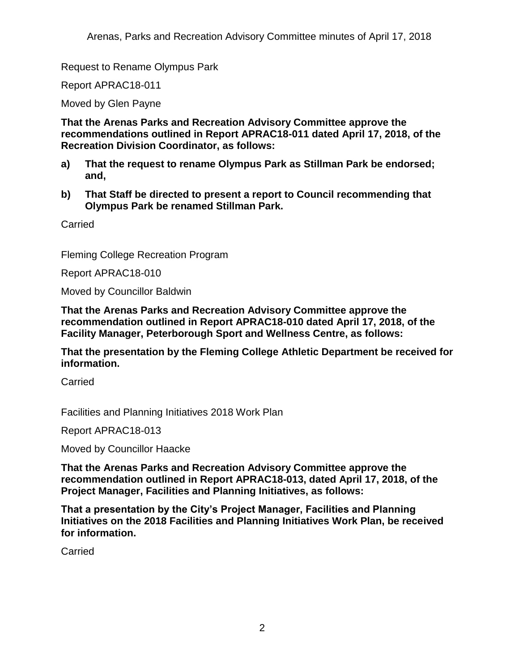Request to Rename Olympus Park

Report APRAC18-011

Moved by Glen Payne

**That the Arenas Parks and Recreation Advisory Committee approve the recommendations outlined in Report APRAC18-011 dated April 17, 2018, of the Recreation Division Coordinator, as follows:** 

- **a) That the request to rename Olympus Park as Stillman Park be endorsed; and,**
- **b) That Staff be directed to present a report to Council recommending that Olympus Park be renamed Stillman Park.**

Carried

Fleming College Recreation Program

Report APRAC18-010

Moved by Councillor Baldwin

**That the Arenas Parks and Recreation Advisory Committee approve the recommendation outlined in Report APRAC18-010 dated April 17, 2018, of the Facility Manager, Peterborough Sport and Wellness Centre, as follows:**

**That the presentation by the Fleming College Athletic Department be received for information.**

**Carried** 

Facilities and Planning Initiatives 2018 Work Plan

Report APRAC18-013

Moved by Councillor Haacke

**That the Arenas Parks and Recreation Advisory Committee approve the recommendation outlined in Report APRAC18-013, dated April 17, 2018, of the Project Manager, Facilities and Planning Initiatives, as follows:**

**That a presentation by the City's Project Manager, Facilities and Planning Initiatives on the 2018 Facilities and Planning Initiatives Work Plan, be received for information.**

**Carried**